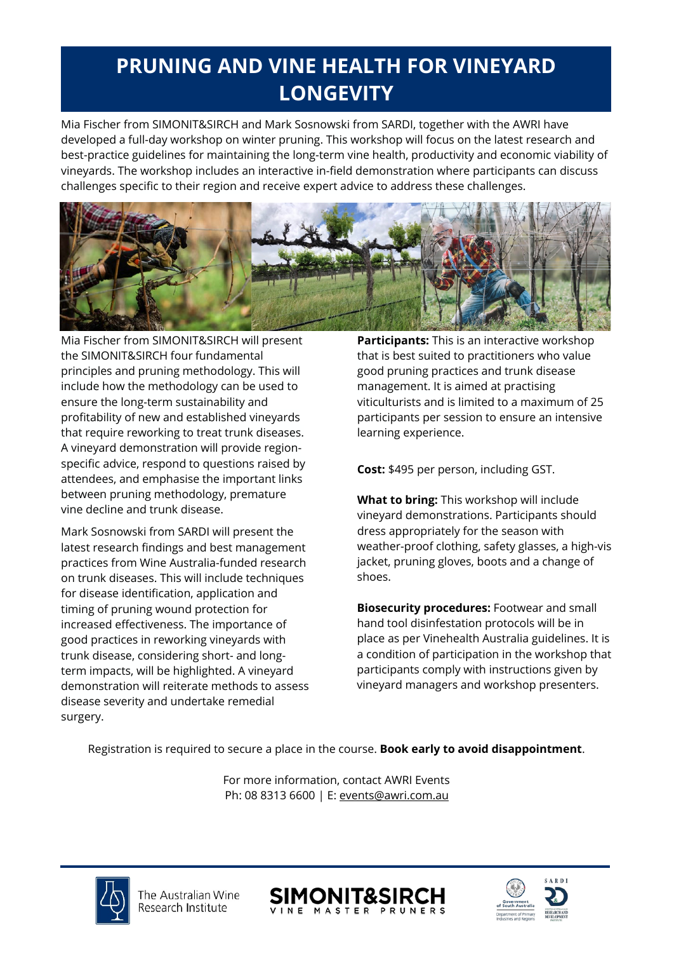# **PRUNING AND VINE HEALTH FOR VINEYARD LONGEVITY**

Mia Fischer from SIMONIT&SIRCH and Mark Sosnowski from SARDI, together with the AWRI have developed a full-day workshop on winter pruning. This workshop will focus on the latest research and best-practice guidelines for maintaining the long-term vine health, productivity and economic viability of vineyards. The workshop includes an interactive in-field demonstration where participants can discuss challenges specific to their region and receive expert advice to address these challenges.



Mia Fischer from SIMONIT&SIRCH will present the SIMONIT&SIRCH four fundamental principles and pruning methodology. This will include how the methodology can be used to ensure the long-term sustainability and profitability of new and established vineyards that require reworking to treat trunk diseases. A vineyard demonstration will provide regionspecific advice, respond to questions raised by attendees, and emphasise the important links between pruning methodology, premature vine decline and trunk disease.

Mark Sosnowski from SARDI will present the latest research findings and best management practices from Wine Australia-funded research on trunk diseases. This will include techniques for disease identification, application and timing of pruning wound protection for increased effectiveness. The importance of good practices in reworking vineyards with trunk disease, considering short- and longterm impacts, will be highlighted. A vineyard demonstration will reiterate methods to assess disease severity and undertake remedial surgery.

**Participants:** This is an interactive workshop that is best suited to practitioners who value good pruning practices and trunk disease management. It is aimed at practising viticulturists and is limited to a maximum of 25 participants per session to ensure an intensive learning experience.

**Cost:** \$495 per person, including GST.

**What to bring:** This workshop will include vineyard demonstrations. Participants should dress appropriately for the season with weather-proof clothing, safety glasses, a high-vis jacket, pruning gloves, boots and a change of shoes.

**Biosecurity procedures:** Footwear and small hand tool disinfestation protocols will be in place as per Vinehealth Australia guidelines. It is a condition of participation in the workshop that participants comply with instructions given by vineyard managers and workshop presenters.

Registration is required to secure a place in the course. **Book early to avoid disappointment**.

For more information, contact AWRI Events Ph: 08 8313 6600 | E: [events@awri.com.au](mailto:events@awri.com.au)





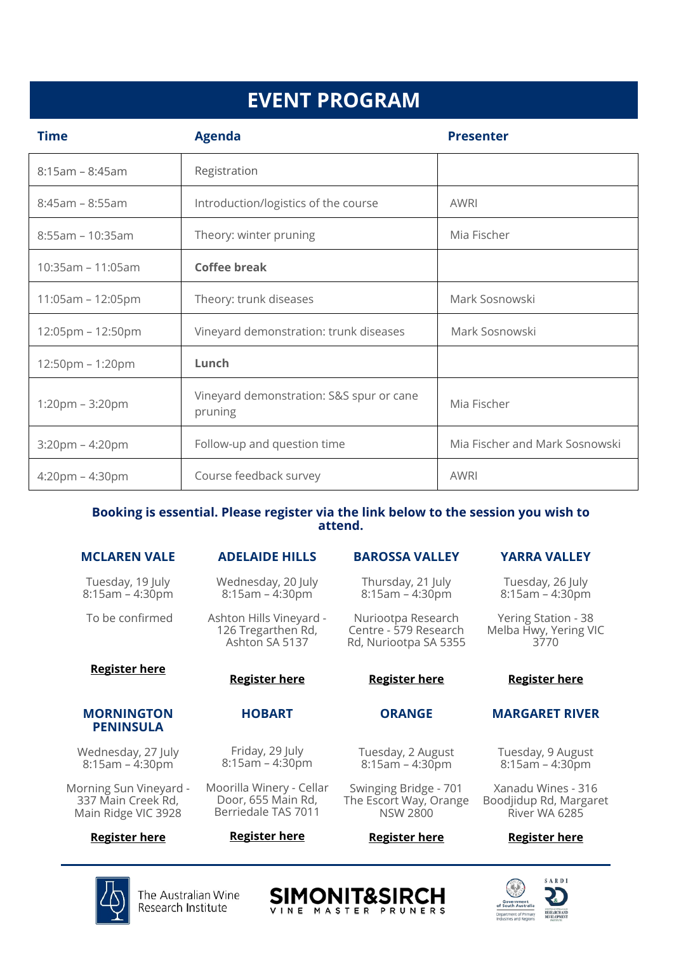# **EVENT PROGRAM**

| <b>Time</b>                       | <b>Agenda</b>                                       | <b>Presenter</b>               |
|-----------------------------------|-----------------------------------------------------|--------------------------------|
| $8:15am - 8:45am$                 | Registration                                        |                                |
| $8:45am - 8:55am$                 | Introduction/logistics of the course                | AWRI                           |
| 8:55am - 10:35am                  | Theory: winter pruning                              | Mia Fischer                    |
| $10:35am - 11:05am$               | <b>Coffee break</b>                                 |                                |
| $11:05am - 12:05pm$               | Theory: trunk diseases                              | Mark Sosnowski                 |
| $12:05$ pm – 12:50pm              | Vineyard demonstration: trunk diseases              | Mark Sosnowski                 |
| $12:50$ pm – 1:20pm               | Lunch                                               |                                |
| $1:20 \text{pm} - 3:20 \text{pm}$ | Vineyard demonstration: S&S spur or cane<br>pruning | Mia Fischer                    |
| $3:20$ pm – 4:20pm                | Follow-up and question time                         | Mia Fischer and Mark Sosnowski |
| $4:20$ pm – $4:30$ pm             | Course feedback survey                              | AWRI                           |

### **Booking is essential. Please register via the link below to the session you wish to attend.**

# **MCLAREN VALE**

Tuesday, 19 July 8:15am – 4:30pm

To be confirmed

# **[Register](https://www.awri.com.au/events/pruning-and-vine-health-for-vineyard-longevity-mclaren-vale/) here**

#### **MORNINGTON PENINSULA**

Wednesday, 27 July 8:15am – 4:30pm

Morning Sun Vineyard - 337 Main Creek Rd, Main Ridge VIC 3928

# **[Register](https://www.awri.com.au/events/pruning-and-vine-health-for-vineyard-longevity-mornington-peninsula/) here**

# **ADELAIDE HILLS**

Wednesday, 20 July 8:15am – 4:30pm

Ashton Hills Vineyard - 126 Tregarthen Rd, Ashton SA 5137

**[Register](https://www.awri.com.au/events/pruning-and-vine-health-for-vineyard-longevity-adelaide-hills/) here**

**HOBART**

Friday, 29 July  $8:15$ am –  $4:30$ pm

Moorilla Winery - Cellar Door, 655 Main Rd, Berriedale TAS 7011

**[Register](https://www.awri.com.au/events/pruning-and-vine-health-for-vineyard-longevity-hobart/) here**

#### Centre - 579 Research Rd, Nuriootpa SA 5355

#### **[Register](https://www.awri.com.au/events/pruning-and-vine-health-for-vineyard-longevity-barossa-valley/) here**

**BAROSSA VALLEY**

Thursday, 21 July 8:15am – 4:30pm

Nuriootpa Research

#### **ORANGE**

Tuesday, 2 August 8:15am – 4:30pm

Swinging Bridge - 701 The Escort Way, Orange NSW 2800

#### **[Register](https://www.awri.com.au/events/pruning-and-vine-health-for-vineyard-longevity-orange/) here**



Tuesday, 9 August 8:15am – 4:30pm

Xanadu Wines - 316 Boodjidup Rd, Margaret River WA 6285

# **[Register](https://www.awri.com.au/events/pruning-and-vine-health-for-vineyard-longevity-margaret-river/) here**



The Australian Wine Research Institute







# Melba Hwy, Yering VIC 3770

# **[Register](https://www.awri.com.au/events/pruning-and-vine-health-for-vineyard-longevity-yarra-valley/) here**

**YARRA VALLEY**

Tuesday, 26 July 8:15am – 4:30pm

Yering Station - 38

# **MARGARET RIVER**